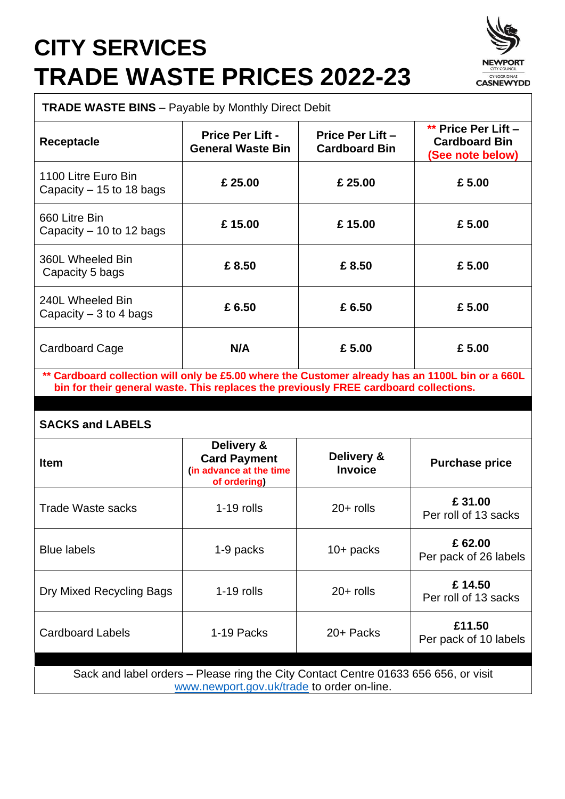## **CITY SERVICES TRADE WASTE PRICES 2022-23**



**TRADE WASTE BINS** – Payable by Monthly Direct Debit

| <b>Receptacle</b>                                                                                | <b>Price Per Lift -</b><br><b>General Waste Bin</b> | Price Per Lift -<br><b>Cardboard Bin</b> | ** Price Per Lift -<br><b>Cardboard Bin</b><br>(See note below) |
|--------------------------------------------------------------------------------------------------|-----------------------------------------------------|------------------------------------------|-----------------------------------------------------------------|
| 1100 Litre Euro Bin<br>Capacity $-15$ to 18 bags                                                 | £ 25.00                                             | £ 25.00                                  | £5.00                                                           |
| 660 Litre Bin<br>Capacity $-10$ to 12 bags                                                       | £15.00                                              | £15.00                                   | £5.00                                                           |
| 360L Wheeled Bin<br>Capacity 5 bags                                                              | £8.50                                               | £8.50                                    | £5.00                                                           |
| 240L Wheeled Bin<br>Capacity $-3$ to 4 bags                                                      | £6.50                                               | £6.50                                    | £5.00                                                           |
| Cardboard Cage                                                                                   | N/A                                                 | £ 5.00                                   | £5.00                                                           |
| ** Cardboard collection will only be £5.00 where the Customer already has an 1100L bin or a 660L |                                                     |                                          |                                                                 |

**\*\* Cardboard collection will only be £5.00 where the Customer already has an 1100L bin or a 660L bin for their general waste. This replaces the previously FREE cardboard collections.**

## **SACKS and LABELS**

| <b>Item</b>                                                                                                                       | Delivery &<br><b>Card Payment</b><br>(in advance at the time<br>of ordering) | Delivery &<br><b>Invoice</b> | <b>Purchase price</b>           |  |
|-----------------------------------------------------------------------------------------------------------------------------------|------------------------------------------------------------------------------|------------------------------|---------------------------------|--|
| Trade Waste sacks                                                                                                                 | $1-19$ rolls                                                                 | $20+$ rolls                  | £31.00<br>Per roll of 13 sacks  |  |
| <b>Blue labels</b>                                                                                                                | 1-9 packs                                                                    | $10+$ packs                  | £62.00<br>Per pack of 26 labels |  |
| Dry Mixed Recycling Bags                                                                                                          | $1-19$ rolls                                                                 | $20+$ rolls                  | £14.50<br>Per roll of 13 sacks  |  |
| <b>Cardboard Labels</b>                                                                                                           | 1-19 Packs                                                                   | 20+ Packs                    | £11.50<br>Per pack of 10 labels |  |
| Sack and label orders – Please ring the City Contact Centre 01633 656 656, or visit<br>www.newport.gov.uk/trade to order on-line. |                                                                              |                              |                                 |  |